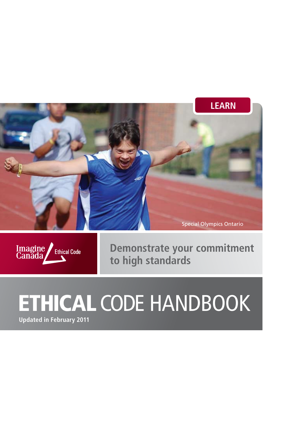



**Demonstrate your commitment to high standards**

# ETHICAL CODE HANDBOOK

**Updated in February 2011**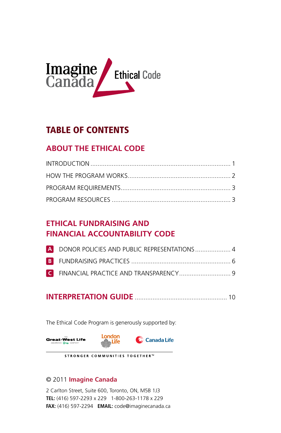

### TABLE OF CONTENTS

### **ABOUT THE ETHICAl cODE**

### **ETHICAL FUNDRAISING AND FINANCIAL ACCOUNTABILITY CODE**

| A DONOR POLICIES AND PUBLIC REPRESENTATIONS  4 |  |
|------------------------------------------------|--|
|                                                |  |
|                                                |  |

### **INTERPRETATION GUIDE**..................................................... 10

The Ethical Code Program is generously supported by:



#### STRONGER COMMUNITIES TOGETHER™

### © 2011 **Imagine Canada**

2 Carlton Street, Suite 600, Toronto, ON, M5B 1J3 **TEL:** (416) 597-2293 x 229 1-800-263-1178 x 229 **FAX:** (416) 597-2294 **EMAIL:** code@imaginecanada.ca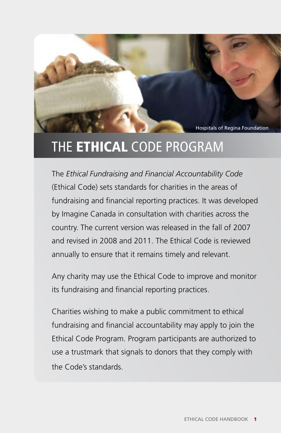Hospitals of Regina Foundation

# THE **ETHICAL** CODE PROGRAM

The *Ethical Fundraising and Financial Accountability Code* (Ethical Code) sets standards for charities in the areas of fundraising and financial reporting practices. It was developed by Imagine Canada in consultation with charities across the country. The current version was released in the fall of 2007 and revised in 2008 and 2011. The Ethical Code is reviewed annually to ensure that it remains timely and relevant.

Any charity may use the Ethical Code to improve and monitor its fundraising and financial reporting practices.

Charities wishing to make a public commitment to ethical fundraising and financial accountability may apply to join the Ethical Code Program. Program participants are authorized to use a trustmark that signals to donors that they comply with the Code's standards.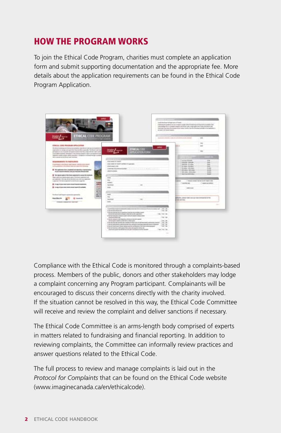### HOW THE PROGRAM WORKS

To join the Ethical Code Program, charities must complete an application form and submit supporting documentation and the appropriate fee. More details about the application requirements can be found in the Ethical Code Program Application.



Compliance with the Ethical Code is monitored through a complaints-based process. Members of the public, donors and other stakeholders may lodge a complaint concerning any Program participant. Complainants will be encouraged to discuss their concerns directly with the charity involved. If the situation cannot be resolved in this way, the Ethical Code Committee will receive and review the complaint and deliver sanctions if necessary.

The Ethical Code Committee is an arms-length body comprised of experts in matters related to fundraising and financial reporting. In addition to reviewing complaints, the Committee can informally review practices and answer questions related to the Ethical Code.

The full process to review and manage complaints is laid out in the *Protocol for Complaints* that can be found on the Ethical Code website (www.imaginecanada.ca/en/ethicalcode).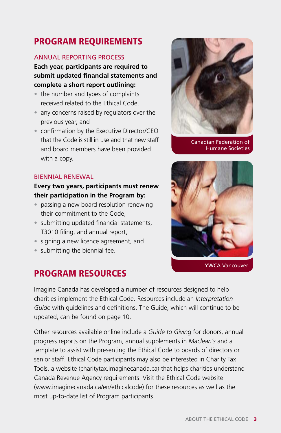### PROGRAM REQUIREMENTS

### Annual reporting process

### **Each year, participants are required to submit updated financial statements and complete a short report outlining:**

- the number and types of complaints received related to the Ethical Code,
- any concerns raised by regulators over the previous year, and
- confirmation by the Executive Director/CEO that the Code is still in use and that new staff and board members have been provided with a copy.

### Biennial renewal

### **Every two years, participants must renew their participation in the Program by:**

- passing a new board resolution renewing their commitment to the Code,
- submitting updated financial statements, T3010 filing, and annual report,
- signing a new licence agreement, and
- submitting the biennial fee.

### PROGRAM RESOURCES



Canadian Federation of Humane Societies



YWCA Vancouver

Imagine Canada has developed a number of resources designed to help charities implement the Ethical Code. Resources include an *Interpretation Guide* with guidelines and definitions. The Guide, which will continue to be updated, can be found on page 10.

Other resources available online include a *Guide to Giving* for donors, annual progress reports on the Program, annual supplements in *Maclean's* and a template to assist with presenting the Ethical Code to boards of directors or senior staff. Ethical Code participants may also be interested in Charity Tax Tools, a website (charitytax.imaginecanada.ca) that helps charities understand Canada Revenue Agency requirements. Visit the Ethical Code website (www.imaginecanada.ca/en/ethicalcode) for these resources as well as the most up-to-date list of Program participants.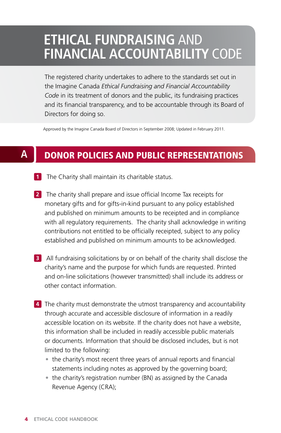### **ETHICAL FUNDRAISING** AND **FINANCIAL ACCOUNTABILITY** CODE

The registered charity undertakes to adhere to the standards set out in the Imagine Canada *Ethical Fundraising and Financial Accountability Code* in its treatment of donors and the public, its fundraising practices and its financial transparency, and to be accountable through its Board of Directors for doing so.

Approved by the Imagine Canada Board of Directors in September 2008; Updated in February 2011.

#### DONOR POLICIES AND PUBLIC REPRESENTATIONS **A**

- **1** The Charity shall maintain its charitable status.
- **2** The charity shall prepare and issue official Income Tax receipts for monetary gifts and for gifts-in-kind pursuant to any policy established and published on minimum amounts to be receipted and in compliance with all regulatory requirements. The charity shall acknowledge in writing contributions not entitled to be officially receipted, subject to any policy established and published on minimum amounts to be acknowledged.
- **3** All fundraising solicitations by or on behalf of the charity shall disclose the charity's name and the purpose for which funds are requested. Printed and on-line solicitations (however transmitted) shall include its address or other contact information.
- **4** The charity must demonstrate the utmost transparency and accountability through accurate and accessible disclosure of information in a readily accessible location on its website. If the charity does not have a website, this information shall be included in readily accessible public materials or documents. Information that should be disclosed includes, but is not limited to the following:
	- the charity's most recent three years of annual reports and financial statements including notes as approved by the governing board;
	- the charity's registration number (BN) as assigned by the Canada Revenue Agency (CRA);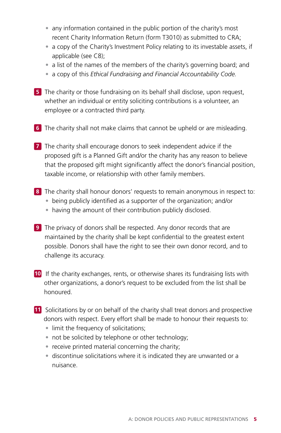- any information contained in the public portion of the charity's most recent Charity Information Return (form T3010) as submitted to CRA;
- a copy of the Charity's Investment Policy relating to its investable assets, if applicable (see C8);
- a list of the names of the members of the charity's governing board; and
- a copy of this *Ethical Fundraising and Financial Accountability Code.*
- **5** The charity or those fundraising on its behalf shall disclose, upon request, whether an individual or entity soliciting contributions is a volunteer, an employee or a contracted third party.
- **6** The charity shall not make claims that cannot be upheld or are misleading.
- **7** The charity shall encourage donors to seek independent advice if the proposed gift is a Planned Gift and/or the charity has any reason to believe that the proposed gift might significantly affect the donor's financial position, taxable income, or relationship with other family members.
- **8** The charity shall honour donors' requests to remain anonymous in respect to:
	- being publicly identified as a supporter of the organization; and/or
	- having the amount of their contribution publicly disclosed.
- **9** The privacy of donors shall be respected. Any donor records that are maintained by the charity shall be kept confidential to the greatest extent possible. Donors shall have the right to see their own donor record, and to challenge its accuracy.
- **10** If the charity exchanges, rents, or otherwise shares its fundraising lists with other organizations, a donor's request to be excluded from the list shall be honoured.
- **11** Solicitations by or on behalf of the charity shall treat donors and prospective donors with respect. Every effort shall be made to honour their requests to:
	- limit the frequency of solicitations;
	- not be solicited by telephone or other technology;
	- receive printed material concerning the charity;
	- discontinue solicitations where it is indicated they are unwanted or a nuisance.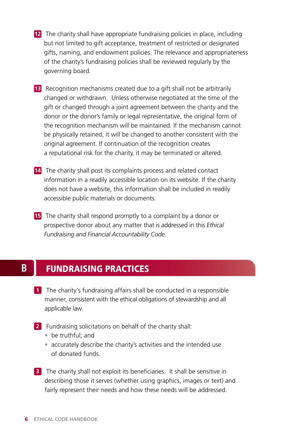- **12** The charity shall have appropriate fundraising policies in place, including but not limited to gift acceptance, treatment of restricted or designated gifts, naming, and endowment policies. The relevance and appropriateness of the charity's fundraising policies shall be reviewed regularly by the governing board.
- **13** Recognition mechanisms created due to a gift shall not be arbitrarily changed or withdrawn. Unless otherwise negotiated at the time of the gift or changed through a joint agreement between the charity and the donor or the donor's family or legal representative, the original form of the recognition mechanism will be maintained. If the mechanism cannot be physically retained, it will be changed to another consistent with the original agreement. If continuation of the recognition creates a reputational risk for the charity, it may be terminated or altered.
- **14** The charity shall post its complaints process and related contact information in a readily accessible location on its website. If the charity does not have a website, this information shall be included in readily accessible public materials or documents.
- **15** The charity shall respond promptly to a complaint by a donor or prospective donor about any matter that is addressed in this *Ethical Fundraising and Financial Accountability Code.*

#### **B** FUNDRAISING PRACTICES

- **1** The charity's fundraising affairs shall be conducted in a responsible manner, consistent with the ethical obligations of stewardship and all applicable law.
- **2** Fundraising solicitations on behalf of the charity shall:
	- be truthful; and
	- accurately describe the charity's activities and the intended use of donated funds.
- **3** The charity shall not exploit its beneficiaries. It shall be sensitive in describing those it serves (whether using graphics, images or text) and fairly represent their needs and how these needs will be addressed.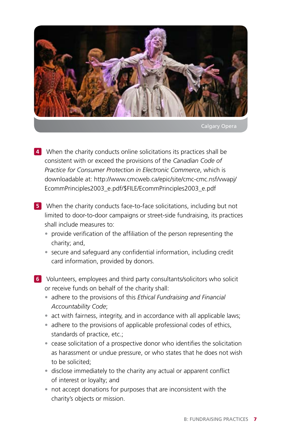

Calgary Opera

- **4** When the charity conducts online solicitations its practices shall be consistent with or exceed the provisions of the *Canadian Code of Practice for Consumer Protection in Electronic Commerce*, which is downloadable at: http://www.cmcweb.ca/epic/site/cmc-cmc.nsf/vwapj/ EcommPrinciples2003\_e.pdf/\$FILE/EcommPrinciples2003\_e.pdf
- **5** When the charity conducts face-to-face solicitations, including but not limited to door-to-door campaigns or street-side fundraising, its practices shall include measures to:
	- provide verification of the affiliation of the person representing the charity; and,
	- secure and safeguard any confidential information, including credit card information, provided by donors.
- **6** Volunteers, employees and third party consultants/solicitors who solicit or receive funds on behalf of the charity shall:
	- adhere to the provisions of this *Ethical Fundraising and Financial Accountability Code*;
	- act with fairness, integrity, and in accordance with all applicable laws;
	- adhere to the provisions of applicable professional codes of ethics, standards of practice, etc.;
	- cease solicitation of a prospective donor who identifies the solicitation as harassment or undue pressure, or who states that he does not wish to be solicited;
	- disclose immediately to the charity any actual or apparent conflict of interest or loyalty; and
	- not accept donations for purposes that are inconsistent with the charity's objects or mission.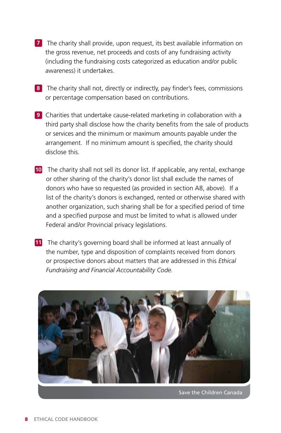- **7** The charity shall provide, upon request, its best available information on the gross revenue, net proceeds and costs of any fundraising activity (including the fundraising costs categorized as education and/or public awareness) it undertakes.
- **8** The charity shall not, directly or indirectly, pay finder's fees, commissions or percentage compensation based on contributions.
- **9** Charities that undertake cause-related marketing in collaboration with a third party shall disclose how the charity benefits from the sale of products or services and the minimum or maximum amounts payable under the arrangement. If no minimum amount is specified, the charity should disclose this.
- **10** The charity shall not sell its donor list. If applicable, any rental, exchange or other sharing of the charity's donor list shall exclude the names of donors who have so requested (as provided in section A8, above). If a list of the charity's donors is exchanged, rented or otherwise shared with another organization, such sharing shall be for a specified period of time and a specified purpose and must be limited to what is allowed under Federal and/or Provincial privacy legislations.
- **11** The charity's governing board shall be informed at least annually of the number, type and disposition of complaints received from donors or prospective donors about matters that are addressed in this *Ethical Fundraising and Financial Accountability Code.*



Save the Children Canada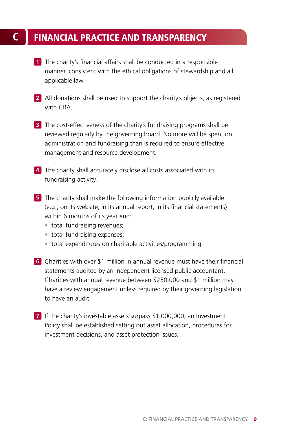### **C** FINANCIAL PRACTICE AND TRANSPARENCY

- **1** The charity's financial affairs shall be conducted in a responsible manner, consistent with the ethical obligations of stewardship and all applicable law.
- **2** All donations shall be used to support the charity's objects, as registered with CRA
- **3** The cost-effectiveness of the charity's fundraising programs shall be reviewed regularly by the governing board. No more will be spent on administration and fundraising than is required to ensure effective management and resource development.
- **4** The charity shall accurately disclose all costs associated with its fundraising activity.
- **5** The charity shall make the following information publicly available (e.g., on its website, in its annual report, in its financial statements) within 6 months of its year end:
	- total fundraising revenues;
	- total fundraising expenses;
	- total expenditures on charitable activities/programming.
- **6** Charities with over \$1 million in annual revenue must have their financial statements audited by an independent licensed public accountant. Charities with annual revenue between \$250,000 and \$1 million may have a review engagement unless required by their governing legislation to have an audit.
- **7** If the charity's investable assets surpass \$1,000,000, an Investment Policy shall be established setting out asset allocation, procedures for investment decisions, and asset protection issues.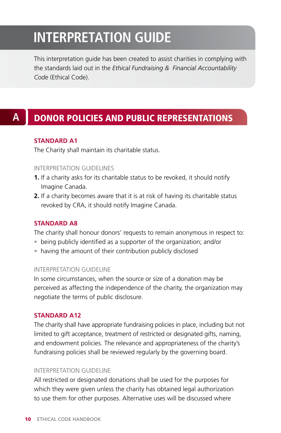## **INTERPRETATION GUIDE**

This interpretation guide has been created to assist charities in complying with the standards laid out in the *Ethical Fundraising & Financial Accountability Code* (Ethical Code).

### **A** DONOR POLICIES AND PUBLIC REPRESENTATIONS

### **Standard A1**

The Charity shall maintain its charitable status.

### Interpretation Guidelines

- **1.** If a charity asks for its charitable status to be revoked, it should notify Imagine Canada.
- **2.** If a charity becomes aware that it is at risk of having its charitable status revoked by CRA, it should notify Imagine Canada.

### **Standard A8**

The charity shall honour donors' requests to remain anonymous in respect to:

- being publicly identified as a supporter of the organization; and/or
- having the amount of their contribution publicly disclosed

#### Interpretation Guideline

In some circumstances, when the source or size of a donation may be perceived as affecting the independence of the charity, the organization may negotiate the terms of public disclosure.

### **Standard A12**

The charity shall have appropriate fundraising policies in place, including but not limited to gift acceptance, treatment of restricted or designated gifts, naming, and endowment policies. The relevance and appropriateness of the charity's fundraising policies shall be reviewed regularly by the governing board.

### Interpretation Guideline

All restricted or designated donations shall be used for the purposes for which they were given unless the charity has obtained legal authorization to use them for other purposes. Alternative uses will be discussed where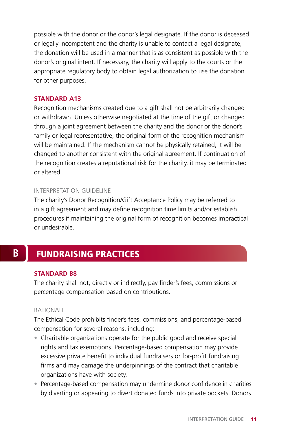possible with the donor or the donor's legal designate. If the donor is deceased or legally incompetent and the charity is unable to contact a legal designate, the donation will be used in a manner that is as consistent as possible with the donor's original intent. If necessary, the charity will apply to the courts or the appropriate regulatory body to obtain legal authorization to use the donation for other purposes.

### **Standard A13**

Recognition mechanisms created due to a gift shall not be arbitrarily changed or withdrawn. Unless otherwise negotiated at the time of the gift or changed through a joint agreement between the charity and the donor or the donor's family or legal representative, the original form of the recognition mechanism will be maintained. If the mechanism cannot be physically retained, it will be changed to another consistent with the original agreement. If continuation of the recognition creates a reputational risk for the charity, it may be terminated or altered.

#### Interpretation Guideline

The charity's Donor Recognition/Gift Acceptance Policy may be referred to in a gift agreement and may define recognition time limits and/or establish procedures if maintaining the original form of recognition becomes impractical or undesirable.

### **B** FUNDRAISING PRACTICES

### **Standard B8**

The charity shall not, directly or indirectly, pay finder's fees, commissions or percentage compensation based on contributions.

#### **RATIONALE**

The Ethical Code prohibits finder's fees, commissions, and percentage-based compensation for several reasons, including:

- Charitable organizations operate for the public good and receive special rights and tax exemptions. Percentage-based compensation may provide excessive private benefit to individual fundraisers or for-profit fundraising firms and may damage the underpinnings of the contract that charitable organizations have with society.
- Percentage-based compensation may undermine donor confidence in charities by diverting or appearing to divert donated funds into private pockets. Donors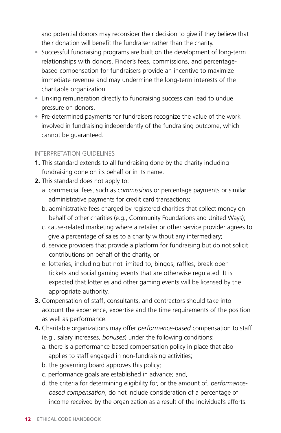and potential donors may reconsider their decision to give if they believe that their donation will benefit the fundraiser rather than the charity.

- Successful fundraising programs are built on the development of long-term relationships with donors. Finder's fees, commissions, and percentagebased compensation for fundraisers provide an incentive to maximize immediate revenue and may undermine the long-term interests of the charitable organization.
- Linking remuneration directly to fundraising success can lead to undue pressure on donors.
- Pre-determined payments for fundraisers recognize the value of the work involved in fundraising independently of the fundraising outcome, which cannot be guaranteed.

### INTERPRETATION GUIDELINES

- **1.** This standard extends to all fundraising done by the charity including fundraising done on its behalf or in its name.
- **2.** This standard does not apply to:
	- a. commercial fees, such as *commissions* or percentage payments or similar administrative payments for credit card transactions;
	- b. administrative fees charged by registered charities that collect money on behalf of other charities (e.g., Community Foundations and United Ways);
	- c. cause-related marketing where a retailer or other service provider agrees to give a percentage of sales to a charity without any intermediary;
	- d. service providers that provide a platform for fundraising but do not solicit contributions on behalf of the charity, or
	- e. lotteries, including but not limited to, bingos, raffles, break open tickets and social gaming events that are otherwise regulated. It is expected that lotteries and other gaming events will be licensed by the appropriate authority.
- **3.** Compensation of staff, consultants, and contractors should take into account the experience, expertise and the time requirements of the position as well as performance.
- **4.** Charitable organizations may offer *performance-based* compensation to staff (e.g., salary increases, *bonuses*) under the following conditions:
	- a. there is a performance-based compensation policy in place that also applies to staff engaged in non-fundraising activities;
	- b. the governing board approves this policy;
	- c. performance goals are established in advance; and,
	- d. the criteria for determining eligibility for, or the amount of, *performancebased compensation*, do not include consideration of a percentage of income received by the organization as a result of the individual's efforts.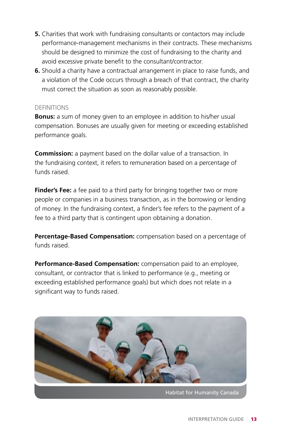- **5.** Charities that work with fundraising consultants or contactors may include performance-management mechanisms in their contracts. These mechanisms should be designed to minimize the cost of fundraising to the charity and avoid excessive private benefit to the consultant/contractor.
- **6.** Should a charity have a contractual arrangement in place to raise funds, and a violation of the Code occurs through a breach of that contract, the charity must correct the situation as soon as reasonably possible.

#### **DEFINITIONS**

**Bonus:** a sum of money given to an employee in addition to his/her usual compensation. Bonuses are usually given for meeting or exceeding established performance goals.

**Commission:** a payment based on the dollar value of a transaction. In the fundraising context, it refers to remuneration based on a percentage of funds raised.

**Finder's Fee:** a fee paid to a third party for bringing together two or more people or companies in a business transaction, as in the borrowing or lending of money. In the fundraising context, a finder's fee refers to the payment of a fee to a third party that is contingent upon obtaining a donation.

**Percentage-Based Compensation:** compensation based on a percentage of funds raised.

**Performance-Based Compensation:** compensation paid to an employee, consultant, or contractor that is linked to performance (e.g., meeting or exceeding established performance goals) but which does not relate in a significant way to funds raised.



Habitat for Humanity Canada